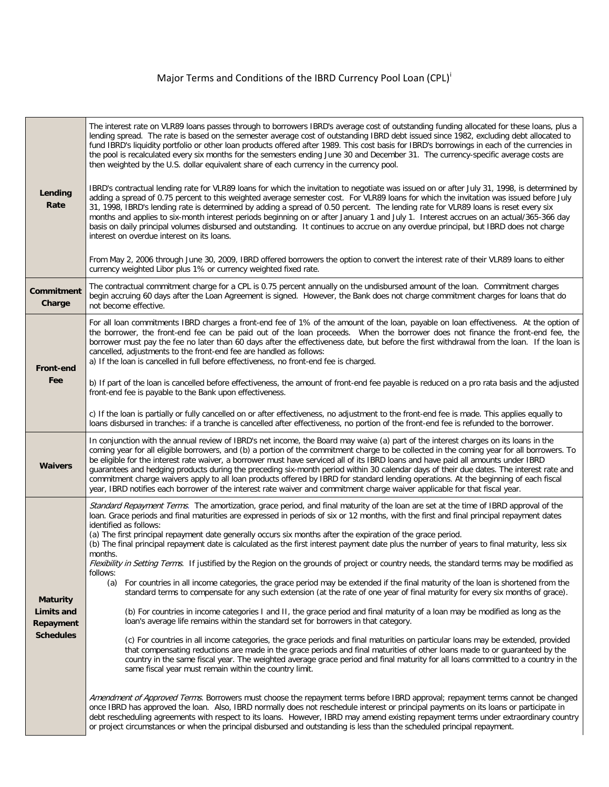## Major Terms and Cond[i](#page-1-0)tions of the IBRD Currency Pool Loan (CPL)<sup>i</sup>

| Lending<br>Rate                                                | The interest rate on VLR89 loans passes through to borrowers IBRD's average cost of outstanding funding allocated for these loans, plus a<br>lending spread. The rate is based on the semester average cost of outstanding IBRD debt issued since 1982, excluding debt allocated to<br>fund IBRD's liquidity portfolio or other loan products offered after 1989. This cost basis for IBRD's borrowings in each of the currencies in<br>the pool is recalculated every six months for the semesters ending June 30 and December 31. The currency-specific average costs are<br>then weighted by the U.S. dollar equivalent share of each currency in the currency pool.<br>IBRD's contractual lending rate for VLR89 loans for which the invitation to negotiate was issued on or after July 31, 1998, is determined by<br>adding a spread of 0.75 percent to this weighted average semester cost. For VLR89 loans for which the invitation was issued before July<br>31, 1998, IBRD's lending rate is determined by adding a spread of 0.50 percent. The lending rate for VLR89 loans is reset every six<br>months and applies to six-month interest periods beginning on or after January 1 and July 1. Interest accrues on an actual/365-366 day<br>basis on daily principal volumes disbursed and outstanding. It continues to accrue on any overdue principal, but IBRD does not charge<br>interest on overdue interest on its loans.<br>From May 2, 2006 through June 30, 2009, IBRD offered borrowers the option to convert the interest rate of their VLR89 loans to either<br>currency weighted Libor plus 1% or currency weighted fixed rate. |
|----------------------------------------------------------------|---------------------------------------------------------------------------------------------------------------------------------------------------------------------------------------------------------------------------------------------------------------------------------------------------------------------------------------------------------------------------------------------------------------------------------------------------------------------------------------------------------------------------------------------------------------------------------------------------------------------------------------------------------------------------------------------------------------------------------------------------------------------------------------------------------------------------------------------------------------------------------------------------------------------------------------------------------------------------------------------------------------------------------------------------------------------------------------------------------------------------------------------------------------------------------------------------------------------------------------------------------------------------------------------------------------------------------------------------------------------------------------------------------------------------------------------------------------------------------------------------------------------------------------------------------------------------------------------------------------------------------------------------------|
| <b>Commitment</b><br>Charge                                    | The contractual commitment charge for a CPL is 0.75 percent annually on the undisbursed amount of the loan. Commitment charges<br>begin accruing 60 days after the Loan Agreement is signed. However, the Bank does not charge commitment charges for loans that do<br>not become effective.                                                                                                                                                                                                                                                                                                                                                                                                                                                                                                                                                                                                                                                                                                                                                                                                                                                                                                                                                                                                                                                                                                                                                                                                                                                                                                                                                            |
| <b>Front-end</b><br>Fee                                        | For all loan commitments IBRD charges a front-end fee of 1% of the amount of the loan, payable on loan effectiveness. At the option of<br>the borrower, the front-end fee can be paid out of the loan proceeds. When the borrower does not finance the front-end fee, the<br>borrower must pay the fee no later than 60 days after the effectiveness date, but before the first withdrawal from the loan. If the loan is<br>cancelled, adjustments to the front-end fee are handled as follows:<br>a) If the loan is cancelled in full before effectiveness, no front-end fee is charged.                                                                                                                                                                                                                                                                                                                                                                                                                                                                                                                                                                                                                                                                                                                                                                                                                                                                                                                                                                                                                                                               |
|                                                                | b) If part of the loan is cancelled before effectiveness, the amount of front-end fee payable is reduced on a pro rata basis and the adjusted<br>front-end fee is payable to the Bank upon effectiveness.                                                                                                                                                                                                                                                                                                                                                                                                                                                                                                                                                                                                                                                                                                                                                                                                                                                                                                                                                                                                                                                                                                                                                                                                                                                                                                                                                                                                                                               |
|                                                                | c) If the loan is partially or fully cancelled on or after effectiveness, no adjustment to the front-end fee is made. This applies equally to<br>loans disbursed in tranches: if a tranche is cancelled after effectiveness, no portion of the front-end fee is refunded to the borrower.                                                                                                                                                                                                                                                                                                                                                                                                                                                                                                                                                                                                                                                                                                                                                                                                                                                                                                                                                                                                                                                                                                                                                                                                                                                                                                                                                               |
| <b>Waivers</b>                                                 | In conjunction with the annual review of IBRD's net income, the Board may waive (a) part of the interest charges on its loans in the<br>coming year for all eligible borrowers, and (b) a portion of the commitment charge to be collected in the coming year for all borrowers. To<br>be eligible for the interest rate waiver, a borrower must have serviced all of its IBRD loans and have paid all amounts under IBRD<br>guarantees and hedging products during the preceding six-month period within 30 calendar days of their due dates. The interest rate and<br>commitment charge waivers apply to all loan products offered by IBRD for standard lending operations. At the beginning of each fiscal<br>year, IBRD notifies each borrower of the interest rate waiver and commitment charge waiver applicable for that fiscal year.                                                                                                                                                                                                                                                                                                                                                                                                                                                                                                                                                                                                                                                                                                                                                                                                            |
|                                                                | Standard Repayment Terms. The amortization, grace period, and final maturity of the loan are set at the time of IBRD approval of the<br>loan. Grace periods and final maturities are expressed in periods of six or 12 months, with the first and final principal repayment dates<br>identified as follows:<br>(a) The first principal repayment date generally occurs six months after the expiration of the grace period.<br>(b) The final principal repayment date is calculated as the first interest payment date plus the number of years to final maturity, less six<br>months.                                                                                                                                                                                                                                                                                                                                                                                                                                                                                                                                                                                                                                                                                                                                                                                                                                                                                                                                                                                                                                                                  |
| <b>Maturity</b><br>Limits and<br>Repayment<br><b>Schedules</b> | Flexibility in Setting Terms. If justified by the Region on the grounds of project or country needs, the standard terms may be modified as<br>follows:<br>For countries in all income categories, the grace period may be extended if the final maturity of the loan is shortened from the<br>(a)<br>standard terms to compensate for any such extension (at the rate of one year of final maturity for every six months of grace).<br>(b) For countries in income categories I and II, the grace period and final maturity of a loan may be modified as long as the<br>loan's average life remains within the standard set for borrowers in that category.<br>(c) For countries in all income categories, the grace periods and final maturities on particular loans may be extended, provided<br>that compensating reductions are made in the grace periods and final maturities of other loans made to or guaranteed by the<br>country in the same fiscal year. The weighted average grace period and final maturity for all loans committed to a country in the<br>same fiscal year must remain within the country limit.                                                                                                                                                                                                                                                                                                                                                                                                                                                                                                                           |
|                                                                | Amendment of Approved Terms. Borrowers must choose the repayment terms before IBRD approval; repayment terms cannot be changed<br>once IBRD has approved the loan. Also, IBRD normally does not reschedule interest or principal payments on its loans or participate in<br>debt rescheduling agreements with respect to its loans. However, IBRD may amend existing repayment terms under extraordinary country<br>or project circumstances or when the principal disbursed and outstanding is less than the scheduled principal repayment.                                                                                                                                                                                                                                                                                                                                                                                                                                                                                                                                                                                                                                                                                                                                                                                                                                                                                                                                                                                                                                                                                                            |